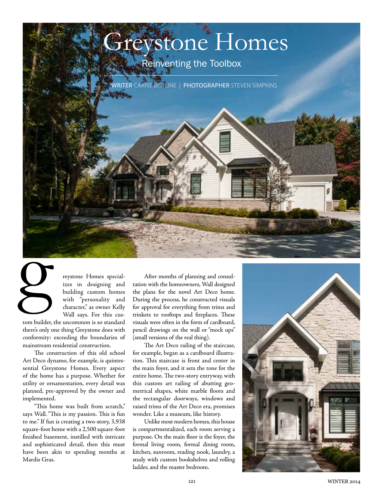

reystone Homes specializes in designing and building custom homes with "personality and character," as owner Kelly Wall says. For this cus-

tom builder, the uncommon is so standard there's only one thing Greystone does with conformity: exceeding the boundaries of mainstream residential construction.

The construction of this old school Art Deco dynamo, for example, is quintessential Greystone Homes. Every aspect of the home has a purpose. Whether for utility or ornamentation, every detail was planned, pre-approved by the owner and implemented.

"This home was built from scratch," says Wall. "This is my passion. This is fun to me." If fun is creating a two-story, 3,938 square-foot home with a 2,500 square-foot finished basement, instilled with intricate and sophisticated detail, then this must have been akin to spending months at Mardis Gras.

After months of planning and consultation with the homeowners, Wall designed the plans for the novel Art Deco home. During the process, he constructed visuals for approval for everything from trims and trinkets to rooftops and fireplaces. These visuals were often in the form of cardboard, pencil drawings on the wall or "mock ups" (small versions of the real thing).

The Art Deco railing of the staircase, for example, began as a cardboard illustration. This staircase is front and center in the main foyer, and it sets the tone for the entire home. The two-story entryway, with this custom art railing of abutting geometrical shapes, white marble floors and the rectangular doorways, windows and raised trims of the Art Deco era, promises wonder. Like a museum, like history.

Unlike most modern homes, this house is compartmentalized, each room serving a purpose. On the main floor is the foyer, the formal living room, formal dining room, kitchen, sunroom, reading nook, laundry, a study with custom bookshelves and rolling ladder, and the master bedroom.

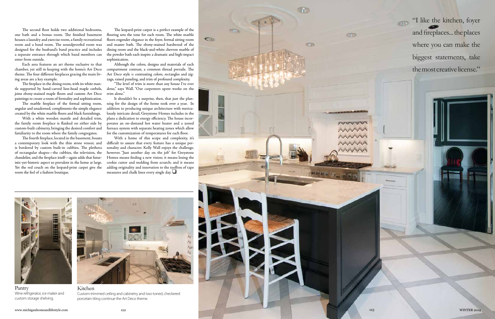The second floor holds two additional bedrooms, one bath and a bonus room. The finished basement houses a laundry and exercise room, a family recreational room and a band room. The soundproofed room was designed for the husband's band practice and includes a separate entrance through which band members can enter from outside.

Each area features an art theme exclusive to that chamber, yet still in keeping with the home's Art Deco theme. The four different fireplaces gracing the main living areas are a key example.

The fireplace in the dining room, with its white mantle supported by hand-carved lion-head maple corbels, joins ebony-stained maple floors and custom Art Deco paintings to create a room of formality and sophistication.

The marble fireplace of the formal sitting room, angular and unadorned, compliments the simple elegance created by the white marble floors and black furnishings.

With a white wooden mantle and detailed trim, the family room fireplace is flanked on either side by custom-built cabinetry, bringing the desired comfort and familiarity to the room where the family congregates.

With a home of this scope and complexity, it's difficult to assure that every feature has a unique personality and character. Kelly Wall enjoys the challenge, however. "Just another day on the job" for Greystone Homes means finding a new vision; it means losing the cookie cutter and molding from scratch; and it means adding originality and innovation to the toolbox of tape measures and chalk lines every single day.  $\Box$ 

The fourth fireplace, located in the basement, boasts a contemporary look with the thin stone veneer, and is bordered by custom built-in cubbies. The plethora of rectangular shapes—the cubbies, the television, the chandelier, and the fireplace itself—again adds that futuristic-yet-historic aspect so prevalent in the home at large. Yet the red couch on the leopard-print carpet give the room the feel of a fashion boutique.

The leopard-print carpet is a perfect example of the flooring sets the tone for each room. The white marble floors engender elegance in the foyer, formal sitting room and master bath. The ebony-stained hardwood of the dining room and the black-and-white chevron marble of the powder bath each inspire a dramatic and high-impact sophistication.

Although the colors, designs and materials of each compartment contrast, a common thread prevails. The Art Deco style *is* contrasting colors, rectangles and zigzags, raised paneling, and trim of profound complexity.

"The level of trim is more than any house I've ever done," says Wall. "Our carpenters spent weeks on the trim alone."

It shouldn't be a surprise, then, that just the planning for the design of the home took over a year. In addition to producing unique architecture with meticulously intricate detail, Greystone Homes includes in the plans a dedication to energy efficiency. The house incorporates an on-demand hot water heater and a zoned furnace system with separate heating zones which allow for the customization of temperatures for each floor.

"I like the kitchen, foyer and fireplaces... the places where you can make the biggest statements, take the most creative license."





Custom-trimmed ceiling and cabinetry and two-toned, checkered porcelain tiling continue the Art Deco theme.



Pantry Wine refrigerator, ice maker and custom storage shelving.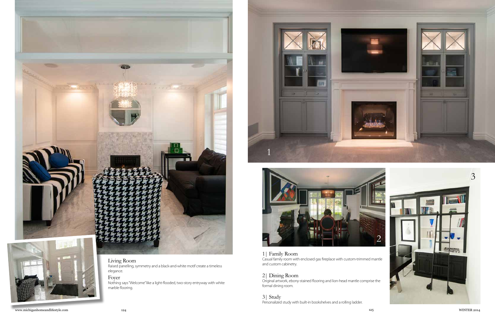

# Living Room

Raised panelling, symmetry and a black-and-white motif create a timeless elegance.

# Foyer

Nothing says "Welcome" like a light-flooded, two-story entryway with white marble flooring.

1| Family Room Casual family room with enclosed gas fireplace with custom-trimmed mantle and custom cabinetry.

## 2| Dining Room

Original artwork, ebony-stained flooring and lion-head mantle comprise the formal dining room.

3| Study Personalized study with built-in bookshelves and a rolling ladder.





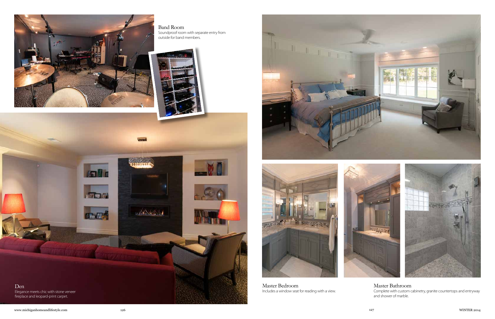

Band Room Soundproof room with separate entry from outside for band members.









Master Bedroom Includes a window seat for reading with a view.





# Master Bathroom

Complete with custom cabinetry, granite countertops and entryway and shower of marble.